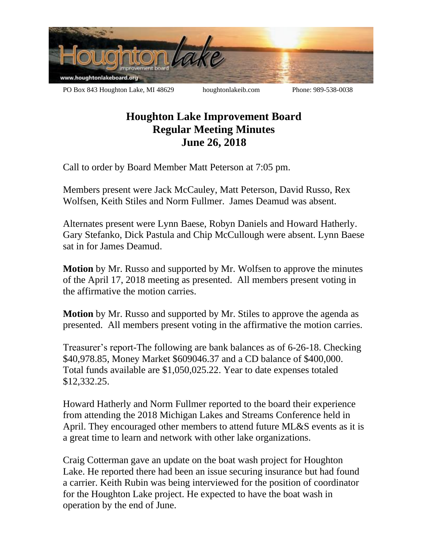

## **Houghton Lake Improvement Board Regular Meeting Minutes June 26, 2018**

Call to order by Board Member Matt Peterson at 7:05 pm.

Members present were Jack McCauley, Matt Peterson, David Russo, Rex Wolfsen, Keith Stiles and Norm Fullmer. James Deamud was absent.

Alternates present were Lynn Baese, Robyn Daniels and Howard Hatherly. Gary Stefanko, Dick Pastula and Chip McCullough were absent. Lynn Baese sat in for James Deamud.

**Motion** by Mr. Russo and supported by Mr. Wolfsen to approve the minutes of the April 17, 2018 meeting as presented. All members present voting in the affirmative the motion carries.

**Motion** by Mr. Russo and supported by Mr. Stiles to approve the agenda as presented. All members present voting in the affirmative the motion carries.

Treasurer's report-The following are bank balances as of 6-26-18. Checking \$40,978.85, Money Market \$609046.37 and a CD balance of \$400,000. Total funds available are \$1,050,025.22. Year to date expenses totaled \$12,332.25.

Howard Hatherly and Norm Fullmer reported to the board their experience from attending the 2018 Michigan Lakes and Streams Conference held in April. They encouraged other members to attend future ML&S events as it is a great time to learn and network with other lake organizations.

Craig Cotterman gave an update on the boat wash project for Houghton Lake. He reported there had been an issue securing insurance but had found a carrier. Keith Rubin was being interviewed for the position of coordinator for the Houghton Lake project. He expected to have the boat wash in operation by the end of June.